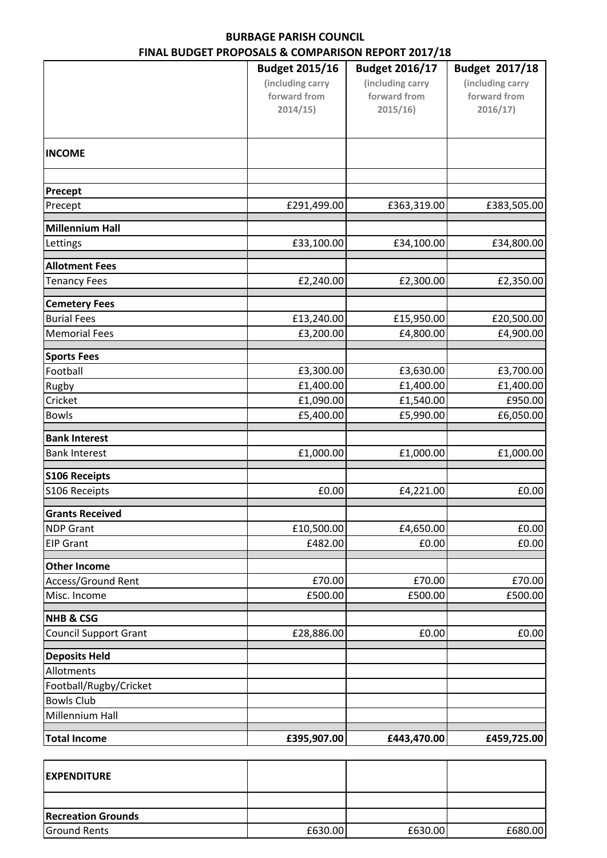## **BURBAGE PARISH COUNCIL FINAL BUDGET PROPOSALS & COMPARISON REPORT 2017/18**

|                              | <b>Budget 2015/16</b> | <b>Budget 2016/17</b> | Budget 2017/18   |
|------------------------------|-----------------------|-----------------------|------------------|
|                              | (including carry      | (including carry      | (including carry |
|                              | forward from          | forward from          | forward from     |
|                              | 2014/15)              | 2015/16               | 2016/17)         |
|                              |                       |                       |                  |
| <b>INCOME</b>                |                       |                       |                  |
|                              |                       |                       |                  |
| Precept                      |                       |                       |                  |
| Precept                      | £291,499.00           | £363,319.00           | £383,505.00      |
| <b>Millennium Hall</b>       |                       |                       |                  |
| Lettings                     | £33,100.00            | £34,100.00            | £34,800.00       |
| <b>Allotment Fees</b>        |                       |                       |                  |
| <b>Tenancy Fees</b>          | £2,240.00             | £2,300.00             | £2,350.00        |
| <b>Cemetery Fees</b>         |                       |                       |                  |
| <b>Burial Fees</b>           | £13,240.00            | £15,950.00            | £20,500.00       |
| <b>Memorial Fees</b>         | £3,200.00             | £4,800.00             | £4,900.00        |
| <b>Sports Fees</b>           |                       |                       |                  |
| Football                     | £3,300.00             | £3,630.00             | £3,700.00        |
| Rugby                        | £1,400.00             | £1,400.00             | £1,400.00        |
| Cricket                      | £1,090.00             | £1,540.00             | £950.00          |
| <b>Bowls</b>                 | £5,400.00             | £5,990.00             | £6,050.00        |
| <b>Bank Interest</b>         |                       |                       |                  |
| <b>Bank Interest</b>         | £1,000.00             | £1,000.00             | £1,000.00        |
| <b>S106 Receipts</b>         |                       |                       |                  |
| S106 Receipts                | £0.00                 | £4,221.00             | £0.00            |
| <b>Grants Received</b>       |                       |                       |                  |
| <b>NDP Grant</b>             | £10,500.00            | £4,650.00             | £0.00            |
| <b>EIP Grant</b>             | £482.00               | £0.00                 | £0.00            |
| <b>Other Income</b>          |                       |                       |                  |
| Access/Ground Rent           | £70.00                | £70.00                | £70.00           |
| Misc. Income                 | £500.00               | £500.00               | £500.00          |
| <b>NHB &amp; CSG</b>         |                       |                       |                  |
| <b>Council Support Grant</b> | £28,886.00            | £0.00                 | £0.00            |
| <b>Deposits Held</b>         |                       |                       |                  |
| Allotments                   |                       |                       |                  |
| Football/Rugby/Cricket       |                       |                       |                  |
| <b>Bowls Club</b>            |                       |                       |                  |
| Millennium Hall              |                       |                       |                  |
| <b>Total Income</b>          | £395,907.00           | £443,470.00           | £459,725.00      |

| <b>IEXPENDITURE</b>       |         |         |         |
|---------------------------|---------|---------|---------|
|                           |         |         |         |
| <b>Recreation Grounds</b> |         |         |         |
| <b>Ground Rents</b>       | £630.00 | £630.00 | £680.00 |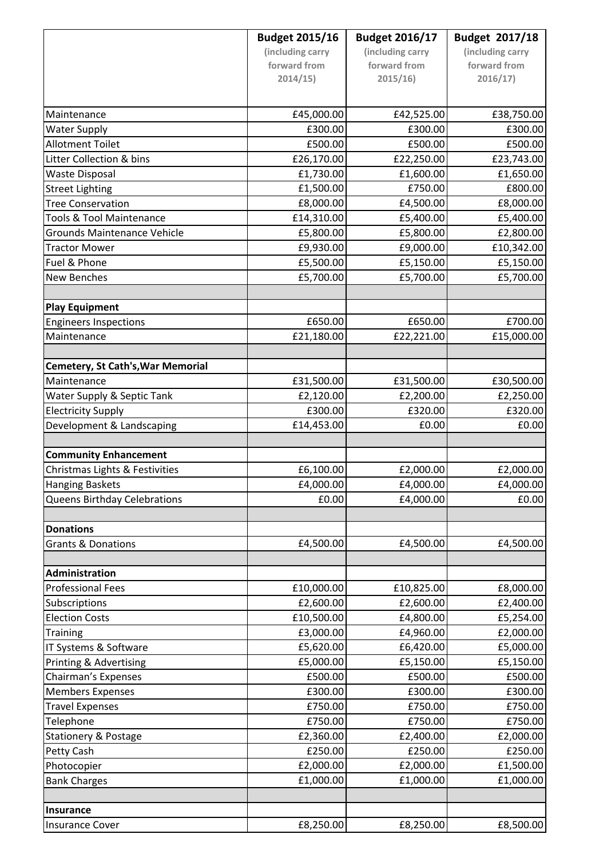|                                          | <b>Budget 2015/16</b> | <b>Budget 2016/17</b> | Budget 2017/18         |
|------------------------------------------|-----------------------|-----------------------|------------------------|
|                                          | (including carry      | (including carry      | (including carry       |
|                                          | forward from          | forward from          | forward from           |
|                                          | 2014/15               | 2015/16               | 2016/17)               |
|                                          |                       |                       |                        |
| Maintenance                              | £45,000.00            | £42,525.00            | £38,750.00             |
| <b>Water Supply</b>                      | £300.00               | £300.00               | £300.00                |
| <b>Allotment Toilet</b>                  | £500.00               | £500.00               | £500.00                |
| Litter Collection & bins                 | £26,170.00            | £22,250.00            | £23,743.00             |
| <b>Waste Disposal</b>                    | £1,730.00             | £1,600.00             | £1,650.00              |
| <b>Street Lighting</b>                   | £1,500.00             | £750.00               | £800.00                |
| <b>Tree Conservation</b>                 | £8,000.00             | £4,500.00             | £8,000.00              |
| <b>Tools &amp; Tool Maintenance</b>      | £14,310.00            | £5,400.00             | £5,400.00              |
| <b>Grounds Maintenance Vehicle</b>       | £5,800.00             | £5,800.00             | £2,800.00              |
| <b>Tractor Mower</b>                     | £9,930.00             | £9,000.00             | £10,342.00             |
| Fuel & Phone                             | £5,500.00             | £5,150.00             | £5,150.00              |
| <b>New Benches</b>                       | £5,700.00             | £5,700.00             | £5,700.00              |
| <b>Play Equipment</b>                    |                       |                       |                        |
| <b>Engineers Inspections</b>             | £650.00               | £650.00               | £700.00                |
| Maintenance                              | £21,180.00            | £22,221.00            | £15,000.00             |
|                                          |                       |                       |                        |
| <b>Cemetery, St Cath's, War Memorial</b> |                       |                       |                        |
| Maintenance                              | £31,500.00            | £31,500.00            | £30,500.00             |
| Water Supply & Septic Tank               | £2,120.00             | £2,200.00             | £2,250.00              |
| <b>Electricity Supply</b>                | £300.00               | £320.00               | £320.00                |
| Development & Landscaping                | £14,453.00            | £0.00                 | £0.00                  |
| <b>Community Enhancement</b>             |                       |                       |                        |
| Christmas Lights & Festivities           | £6,100.00             | £2,000.00             | £2,000.00              |
| <b>Hanging Baskets</b>                   | £4,000.00             | £4,000.00             | £4,000.00              |
| Queens Birthday Celebrations             | £0.00                 | £4,000.00             | £0.00                  |
|                                          |                       |                       |                        |
| <b>Donations</b>                         |                       |                       |                        |
| <b>Grants &amp; Donations</b>            | £4,500.00             | £4,500.00             | £4,500.00              |
| Administration                           |                       |                       |                        |
| <b>Professional Fees</b>                 | £10,000.00            | £10,825.00            | £8,000.00              |
| Subscriptions                            | £2,600.00             | £2,600.00             |                        |
| <b>Election Costs</b>                    | £10,500.00            | £4,800.00             | £2,400.00<br>£5,254.00 |
| <b>Training</b>                          | £3,000.00             | £4,960.00             | £2,000.00              |
| IT Systems & Software                    | £5,620.00             | £6,420.00             | £5,000.00              |
| Printing & Advertising                   | £5,000.00             | £5,150.00             | £5,150.00              |
| Chairman's Expenses                      | £500.00               | £500.00               | £500.00                |
| <b>Members Expenses</b>                  | £300.00               | £300.00               | £300.00                |
| <b>Travel Expenses</b>                   | £750.00               | £750.00               | £750.00                |
| Telephone                                | £750.00               | £750.00               | £750.00                |
| <b>Stationery &amp; Postage</b>          | £2,360.00             | £2,400.00             | £2,000.00              |
| Petty Cash                               | £250.00               | £250.00               | £250.00                |
| Photocopier                              | £2,000.00             | £2,000.00             | £1,500.00              |
| <b>Bank Charges</b>                      | £1,000.00             | £1,000.00             | £1,000.00              |
|                                          |                       |                       |                        |
| <b>Insurance</b>                         |                       |                       |                        |
| <b>Insurance Cover</b>                   | £8,250.00             | £8,250.00             | £8,500.00              |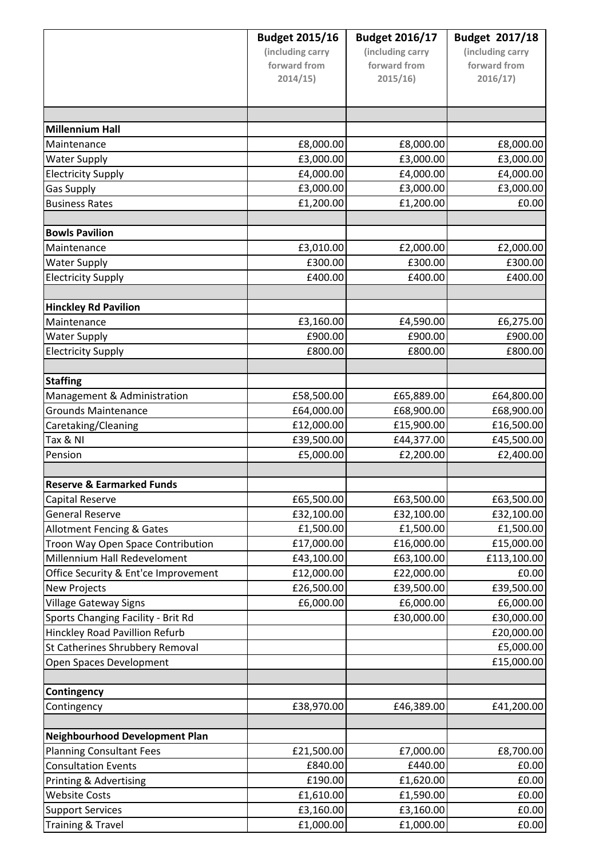|                                      | <b>Budget 2015/16</b> | <b>Budget 2016/17</b> | Budget 2017/18   |
|--------------------------------------|-----------------------|-----------------------|------------------|
|                                      | (including carry      | (including carry      | (including carry |
|                                      | forward from          | forward from          | forward from     |
|                                      | 2014/15)              | 2015/16               | 2016/17)         |
|                                      |                       |                       |                  |
|                                      |                       |                       |                  |
| <b>Millennium Hall</b>               |                       |                       |                  |
| Maintenance                          | £8,000.00             | £8,000.00             | £8,000.00        |
| <b>Water Supply</b>                  | £3,000.00             | £3,000.00             | £3,000.00        |
| <b>Electricity Supply</b>            | £4,000.00             | £4,000.00             | £4,000.00        |
| <b>Gas Supply</b>                    | £3,000.00             | £3,000.00             | £3,000.00        |
| <b>Business Rates</b>                | £1,200.00             | £1,200.00             | £0.00            |
|                                      |                       |                       |                  |
| <b>Bowls Pavilion</b>                |                       |                       |                  |
| Maintenance                          | £3,010.00             | £2,000.00             | £2,000.00        |
| <b>Water Supply</b>                  | £300.00               | £300.00               | £300.00          |
| <b>Electricity Supply</b>            | £400.00               | £400.00               | £400.00          |
| <b>Hinckley Rd Pavilion</b>          |                       |                       |                  |
| Maintenance                          | £3,160.00             | £4,590.00             | £6,275.00        |
| <b>Water Supply</b>                  | £900.00               | £900.00               | £900.00          |
| <b>Electricity Supply</b>            | £800.00               | £800.00               | £800.00          |
|                                      |                       |                       |                  |
| <b>Staffing</b>                      |                       |                       |                  |
| Management & Administration          | £58,500.00            | £65,889.00            | £64,800.00       |
| <b>Grounds Maintenance</b>           | £64,000.00            | £68,900.00            | £68,900.00       |
| Caretaking/Cleaning                  | £12,000.00            | £15,900.00            | £16,500.00       |
| Tax & NI                             | £39,500.00            | £44,377.00            | £45,500.00       |
| Pension                              | £5,000.00             | £2,200.00             | £2,400.00        |
|                                      |                       |                       |                  |
| <b>Reserve &amp; Earmarked Funds</b> |                       |                       |                  |
| <b>Capital Reserve</b>               | £65,500.00            | £63,500.00            | £63,500.00       |
| <b>General Reserve</b>               | £32,100.00            | £32,100.00            | £32,100.00       |
| Allotment Fencing & Gates            | £1,500.00             | £1,500.00             | £1,500.00        |
| Troon Way Open Space Contribution    | £17,000.00            | £16,000.00            | £15,000.00       |
| Millennium Hall Redeveloment         | £43,100.00            | £63,100.00            | £113,100.00      |
| Office Security & Ent'ce Improvement | £12,000.00            | £22,000.00            | £0.00            |
| <b>New Projects</b>                  | £26,500.00            | £39,500.00            | £39,500.00       |
| <b>Village Gateway Signs</b>         | £6,000.00             | £6,000.00             | £6,000.00        |
| Sports Changing Facility - Brit Rd   |                       | £30,000.00            | £30,000.00       |
| Hinckley Road Pavillion Refurb       |                       |                       | £20,000.00       |
| St Catherines Shrubbery Removal      |                       |                       | £5,000.00        |
| Open Spaces Development              |                       |                       | £15,000.00       |
| <b>Contingency</b>                   |                       |                       |                  |
| Contingency                          | £38,970.00            | £46,389.00            | £41,200.00       |
|                                      |                       |                       |                  |
| Neighbourhood Development Plan       |                       |                       |                  |
| <b>Planning Consultant Fees</b>      | £21,500.00            | £7,000.00             | £8,700.00        |
| <b>Consultation Events</b>           | £840.00               | £440.00               | £0.00            |
| Printing & Advertising               | £190.00               | £1,620.00             | £0.00            |
| <b>Website Costs</b>                 | £1,610.00             | £1,590.00             | £0.00            |
| <b>Support Services</b>              | £3,160.00             | £3,160.00             | £0.00            |
| Training & Travel                    | £1,000.00             | £1,000.00             | £0.00            |